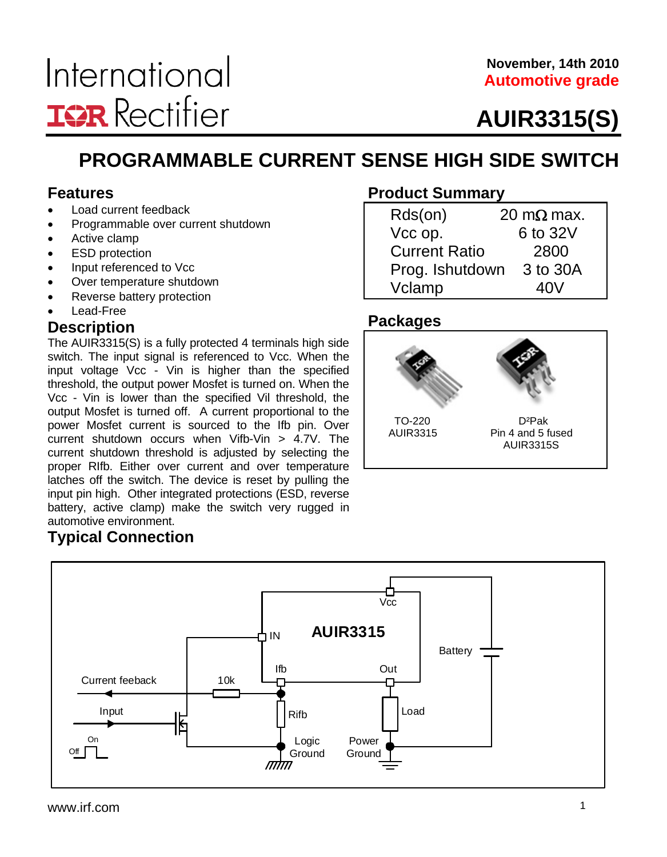#### **November, 14th 2010 Automotive grade**

# **AUIR3315(S)**

### **PROGRAMMABLE CURRENT SENSE HIGH SIDE SWITCH**

#### **Features**

- Load current feedback
- Programmable over current shutdown
- Active clamp
- ESD protection
- Input referenced to Vcc
- Over temperature shutdown
- Reverse battery protection
- Lead-Free

#### **Description**

The AUIR3315(S) is a fully protected 4 terminals high side switch. The input signal is referenced to Vcc. When the input voltage Vcc - Vin is higher than the specified threshold, the output power Mosfet is turned on. When the Vcc - Vin is lower than the specified Vil threshold, the output Mosfet is turned off. A current proportional to the power Mosfet current is sourced to the Ifb pin. Over current shutdown occurs when Vifb-Vin > 4.7V. The current shutdown threshold is adjusted by selecting the proper RIfb. Either over current and over temperature latches off the switch. The device is reset by pulling the input pin high. Other integrated protections (ESD, reverse battery, active clamp) make the switch very rugged in automotive environment.

### **Typical Connection**

#### Out IN **AUIR3315** Rifb Vcc Load Battery Input Power Ground Ifb Logic Ground Current feeback  $\overline{1}$  10k On Off  $\Box$

#### **Product Summary**

| Rds(on)              | 20 m $\Omega$ max. |
|----------------------|--------------------|
| Vcc op.              | 6 to 32V           |
| <b>Current Ratio</b> | 2800               |
| Prog. Ishutdown      | 3 to 30A           |
| Vclamp               | 40V                |

#### **Packages**

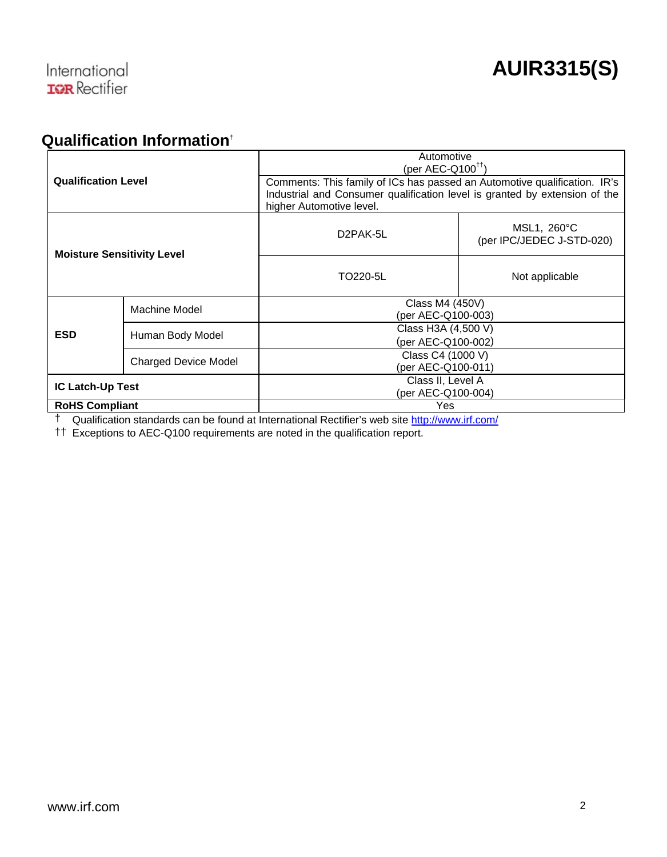#### **Qualification Information**†

| <b>Qualification Level</b>        |                  | Automotive<br>(per AEC- $Q100^{\dagger\dagger}$ )                                                                                                                                   |                                          |  |  |
|-----------------------------------|------------------|-------------------------------------------------------------------------------------------------------------------------------------------------------------------------------------|------------------------------------------|--|--|
|                                   |                  | Comments: This family of ICs has passed an Automotive qualification. IR's<br>Industrial and Consumer qualification level is granted by extension of the<br>higher Automotive level. |                                          |  |  |
| <b>Moisture Sensitivity Level</b> |                  | D <sub>2</sub> PAK-5L                                                                                                                                                               | MSL1, 260°C<br>(per IPC/JEDEC J-STD-020) |  |  |
|                                   |                  | TO220-5L                                                                                                                                                                            | Not applicable                           |  |  |
|                                   | Machine Model    | Class M4 (450V)<br>(per AEC-Q100-003)                                                                                                                                               |                                          |  |  |
| <b>ESD</b>                        | Human Body Model | Class H3A (4,500 V)<br>(per AEC-Q100-002)                                                                                                                                           |                                          |  |  |
| <b>Charged Device Model</b>       |                  | Class C4 (1000 V)<br>(per AEC-Q100-011)                                                                                                                                             |                                          |  |  |
| <b>IC Latch-Up Test</b>           |                  | Class II, Level A<br>(per AEC-Q100-004)                                                                                                                                             |                                          |  |  |
| <b>RoHS Compliant</b>             |                  | Yes                                                                                                                                                                                 |                                          |  |  |

† Qualification standards can be found at International Rectifier's web site <http://www.irf.com/>

†† Exceptions to AEC-Q100 requirements are noted in the qualification report.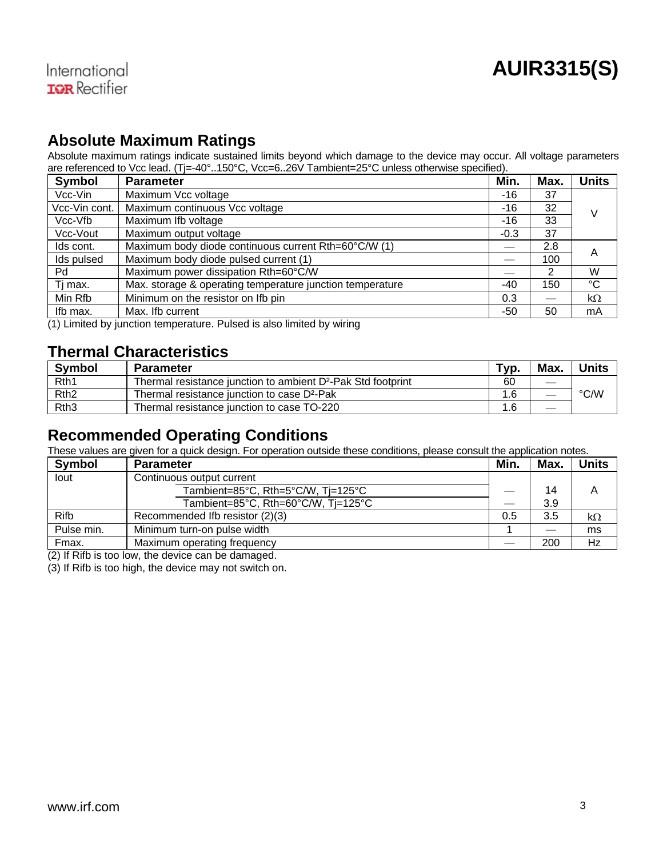#### **Absolute Maximum Ratings**

Absolute maximum ratings indicate sustained limits beyond which damage to the device may occur. All voltage parameters are referenced to Vcc lead. (Tj=-40°..150°C, Vcc=6..26V Tambient=25°C unless otherwise specified).

| <b>Symbol</b> | <b>Parameter</b>                                          | Min.   | Max. | <b>Units</b> |
|---------------|-----------------------------------------------------------|--------|------|--------------|
| Vcc-Vin       | Maximum Vcc voltage                                       | $-16$  | 37   |              |
| Vcc-Vin cont. | Maximum continuous Vcc voltage                            | -16    | 32   | V            |
| Vcc-Vfb       | Maximum Ifb voltage                                       | -16    | 33   |              |
| Vcc-Vout      | Maximum output voltage                                    | $-0.3$ | 37   |              |
| Ids cont.     | Maximum body diode continuous current Rth=60°C/W (1)      |        | 2.8  | A            |
| Ids pulsed    | Maximum body diode pulsed current (1)                     |        | 100  |              |
| Pd            | Maximum power dissipation Rth=60°C/W                      |        | 2    | W            |
| Ti max.       | Max. storage & operating temperature junction temperature | -40    | 150  | °C           |
| Min Rfb       | Minimum on the resistor on Ifb pin                        | 0.3    |      | $k\Omega$    |
| Ifb max.      | Max. Ifb current                                          | -50    | 50   | mA           |

(1) Limited by junction temperature. Pulsed is also limited by wiring

#### **Thermal Characteristics**

| <b>Symbol</b>    | <b>Parameter</b>                                                         | Typ. | Max.                     | <b>Units</b> |
|------------------|--------------------------------------------------------------------------|------|--------------------------|--------------|
| Rth <sub>1</sub> | Thermal resistance junction to ambient D <sup>2</sup> -Pak Std footprint | 60   | $\frac{1}{2}$            |              |
| Rth <sub>2</sub> | Thermal resistance junction to case D <sup>2</sup> -Pak                  |      | $\overline{\phantom{m}}$ | °C∕W         |
| Rth <sub>3</sub> | Thermal resistance junction to case TO-220                               |      |                          |              |

#### **Recommended Operating Conditions**

These values are given for a quick design. For operation outside these conditions, please consult the application notes.

| <b>Symbol</b> | <b>Parameter</b>                    | Min. | Max. | Units     |
|---------------|-------------------------------------|------|------|-----------|
| lout          | Continuous output current           |      |      |           |
|               | Tambient=85°C, Rth=5°C/W, Tj=125°C  |      | 14   | А         |
|               | Tambient=85°C. Rth=60°C/W. Ti=125°C |      | 3.9  |           |
| Rifb          | Recommended Ifb resistor (2)(3)     | 0.5  | 3.5  | $k\Omega$ |
| Pulse min.    | Minimum turn-on pulse width         |      |      | ms        |
| Fmax.         | Maximum operating frequency         |      | 200  | Hz        |

(2) If Rifb is too low, the device can be damaged.

(3) If Rifb is too high, the device may not switch on.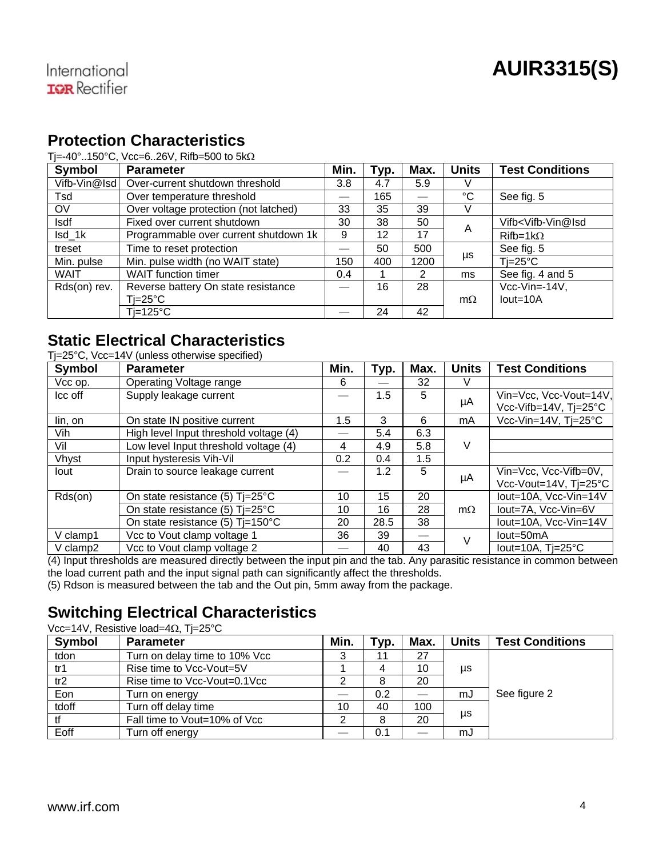#### **Protection Characteristics**

#### Ti=-40°..150°C, Vcc=6..26V, Rifb=500 to  $5k\Omega$

| Symbol       | <b>Parameter</b>                      |     | Typ. | Max.                     | <b>Units</b> | <b>Test Conditions</b>                     |
|--------------|---------------------------------------|-----|------|--------------------------|--------------|--------------------------------------------|
| Vifb-Vin@Isd | Over-current shutdown threshold       | 3.8 | 4.7  | 5.9                      | V            |                                            |
| Tsd          | Over temperature threshold            |     | 165  | $\overline{\phantom{0}}$ | °C           | See fig. 5                                 |
| <b>OV</b>    | Over voltage protection (not latched) | 33  | 35   | 39                       | V            |                                            |
| <b>Isdf</b>  | Fixed over current shutdown           | 30  | 38   | 50                       | A            | Vifb <vifb-vin@isd< td=""></vifb-vin@isd<> |
| Isd 1k       | Programmable over current shutdown 1k | 9   | 12   | 17                       |              | $Rifb=1k\Omega$                            |
| treset       | Time to reset protection              |     | 50   | 500                      |              | See fig. 5                                 |
| Min. pulse   | Min. pulse width (no WAIT state)      | 150 | 400  | 1200                     | μs           | $Ti=25^{\circ}C$                           |
| <b>WAIT</b>  | <b>WAIT</b> function timer            | 0.4 |      | 2                        | ms           | See fig. 4 and 5                           |
| Rds(on) rev. | Reverse battery On state resistance   |     | 16   | 28                       |              | $Vcc-Vin=14V.$                             |
|              | Ti=25°C                               |     |      |                          | $m\Omega$    | $Iout=10A$                                 |
|              | $Ti=125^{\circ}C$                     |     | 24   | 42                       |              |                                            |

#### **Static Electrical Characteristics**  Tj=25°C, Vcc=14V (unless otherwise specified)

| Symbol       | <b>Parameter</b>                           | Min.          | Typ. | Max. | <b>Units</b> | <b>Test Conditions</b>     |  |
|--------------|--------------------------------------------|---------------|------|------|--------------|----------------------------|--|
| Vcc op.      | Operating Voltage range                    | 6             |      | 32   |              |                            |  |
| Icc off      | Supply leakage current                     |               | 1.5  | 5    |              | Vin=Vcc, Vcc-Vout=14V,     |  |
|              |                                            |               |      |      | μA           | Vcc-Vifb=14V. Ti=25°C      |  |
| lin, on      | On state IN positive current               | $1.5^{\circ}$ | 3    | 6    | mA           | Vcc-Vin=14V. Ti=25°C       |  |
| Vih          | High level Input threshold voltage (4)     |               | 5.4  | 6.3  |              |                            |  |
| Vil          | Low level Input threshold voltage (4)      | 4             | 4.9  | 5.8  | V            |                            |  |
| <b>Vhvst</b> | Input hysteresis Vih-Vil                   | 0.2           | 0.4  | 1.5  |              |                            |  |
| lout         | Drain to source leakage current            |               | 1.2  | 5    |              | Vin=Vcc. Vcc-Vifb=0V.      |  |
|              |                                            |               |      |      | μA           | Vcc-Vout=14V, Tj=25°C      |  |
| Rds(on)      | On state resistance (5) Ti=25°C            | 10            | 15   | 20   |              | lout=10A, Vcc-Vin=14V      |  |
|              | On state resistance (5) Ti=25°C            | 10            | 16   | 28   | $m\Omega$    | lout=7A. Vcc-Vin=6V        |  |
|              | On state resistance (5) $Ti=150^{\circ}$ C | 20            | 28.5 | 38   |              | lout=10A, Vcc-Vin=14V      |  |
| V clamp1     | Vcc to Vout clamp voltage 1                | 36            | 39   |      | v            | lout=50mA                  |  |
| V clamp2     | Vcc to Vout clamp voltage 2                |               | 40   | 43   |              | lout=10A. $Ti=25^{\circ}C$ |  |

(4) Input thresholds are measured directly between the input pin and the tab. Any parasitic resistance in common between the load current path and the input signal path can significantly affect the thresholds.

(5) Rdson is measured between the tab and the Out pin, 5mm away from the package.

#### **Switching Electrical Characteristics**

Vcc=14V, Resistive load=4 $\Omega$ , Ti=25°C

| <b>Symbol</b> | <b>Parameter</b>              | Min. | Typ. | Max. | Units | <b>Test Conditions</b> |
|---------------|-------------------------------|------|------|------|-------|------------------------|
| tdon          | Turn on delay time to 10% Vcc |      | 11   | 27   |       |                        |
| tr1           | Rise time to Vcc-Vout=5V      |      | 4    | 10   | μs    |                        |
| tr2           | Rise time to Vcc-Vout=0.1Vcc  |      | 8    | 20   |       |                        |
| Eon           | Turn on enerav                |      | 0.2  |      | mJ    | See figure 2           |
| tdoff         | Turn off delay time           | 10   | 40   | 100  |       |                        |
|               | Fall time to Vout=10% of Vcc  |      | 8    | 20   | μs    |                        |
| Eoff          | Turn off energy               |      | 0.1  |      | mJ    |                        |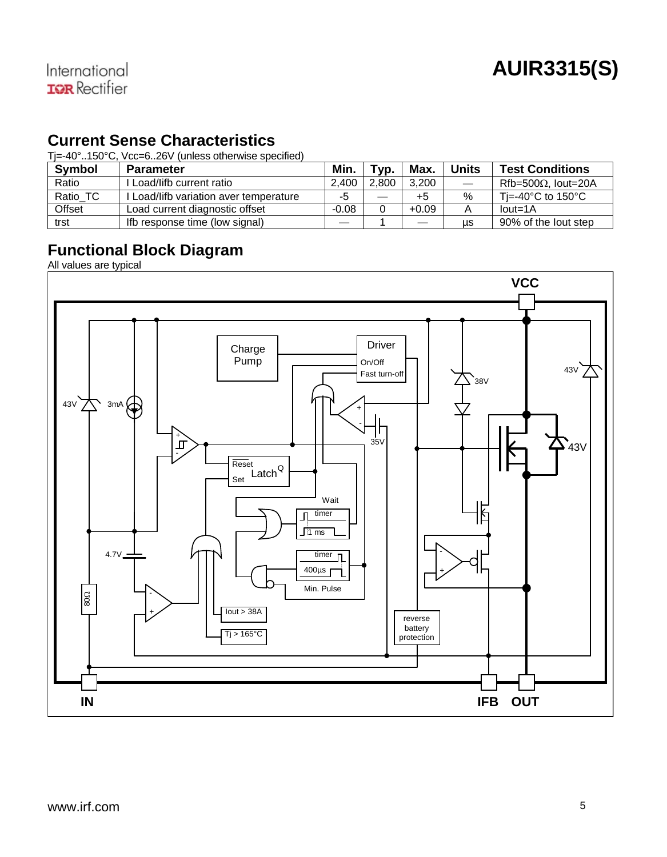#### **Current Sense Characteristics**

Tj=-40°..150°C, Vcc=6..26V (unless otherwise specified)

| <b>Symbol</b> | <b>Parameter</b>                     | Min.    | Tvp.  | Max.    | <b>Units</b>      | <b>Test Conditions</b>                  |
|---------------|--------------------------------------|---------|-------|---------|-------------------|-----------------------------------------|
| Ratio         | . Load/lifb current ratio            | 2.400   | 2.800 | 3.200   | $\qquad \qquad -$ | $Rfb = 500\Omega$ . lout=20A            |
| Ratio TC      | Load/lifb variation aver temperature | -5      |       | $+5$    | %                 | Ti=-40 $^{\circ}$ C to 150 $^{\circ}$ C |
| Offset        | Load current diagnostic offset       | $-0.08$ |       | $+0.09$ |                   | $Iout=1A$                               |
| trst          | Ifb response time (low signal)       |         |       |         | us                | 90% of the lout step                    |

#### **Functional Block Diagram**

All values are typical

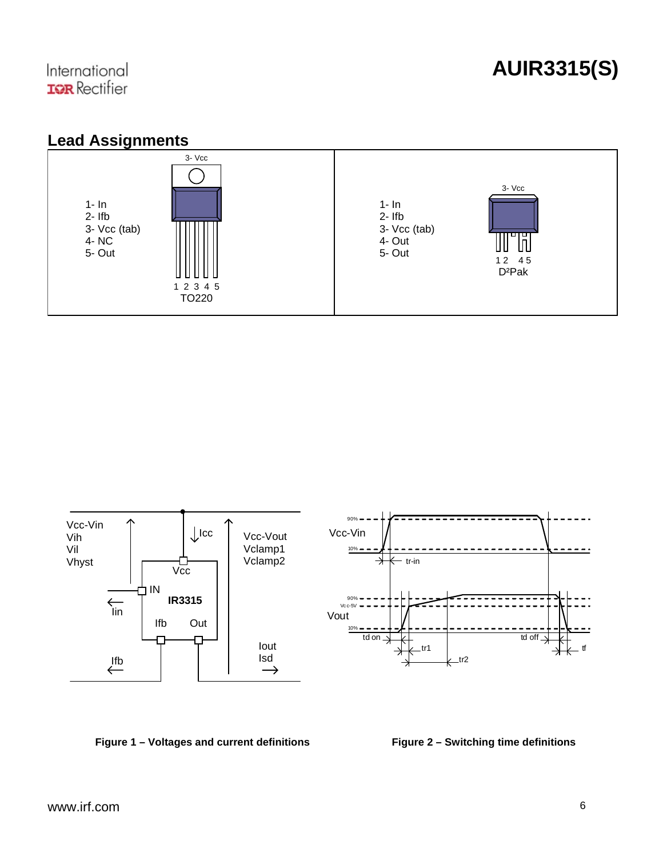



#### **Figure 1 – Voltages and current definitions Figure 2 – Switching time definitions**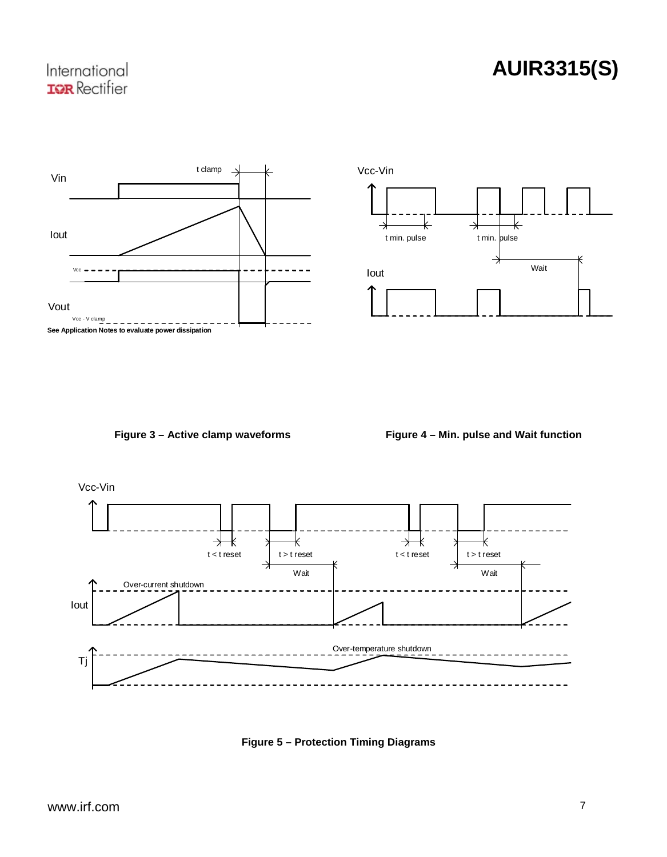### **AUIR3315(S)**





**Figure 3 – Active clamp waveforms Figure 4 – Min. pulse and Wait function** 



**Figure 5 – Protection Timing Diagrams**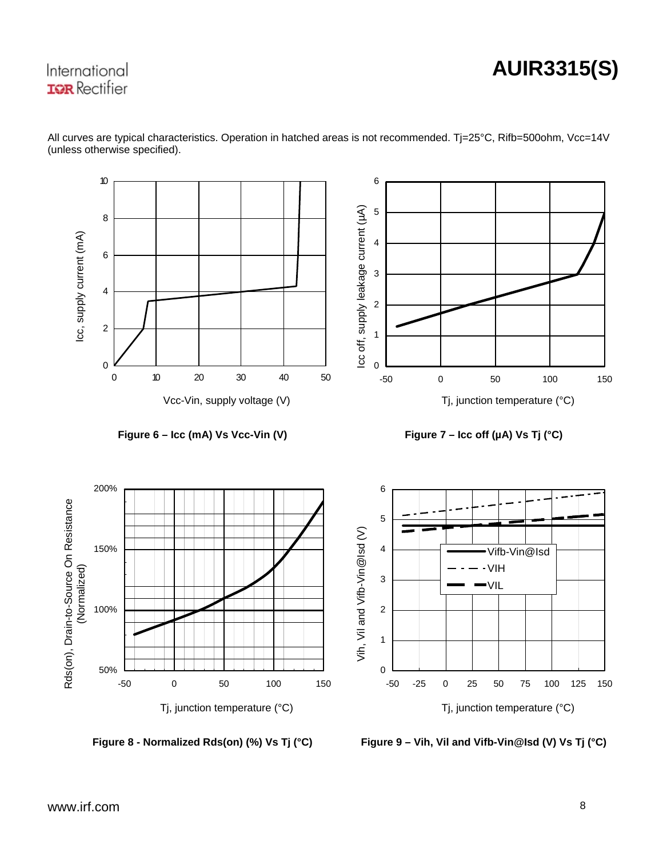# **AUIR3315(S)**



All curves are typical characteristics. Operation in hatched areas is not recommended. Tj=25°C, Rifb=500ohm, Vcc=14V (unless otherwise specified).

**Figure 8 - Normalized Rds(on) (%) Vs Tj (°C) Figure 9 – Vih, Vil and Vifb-Vin@Isd (V) Vs Tj (°C)**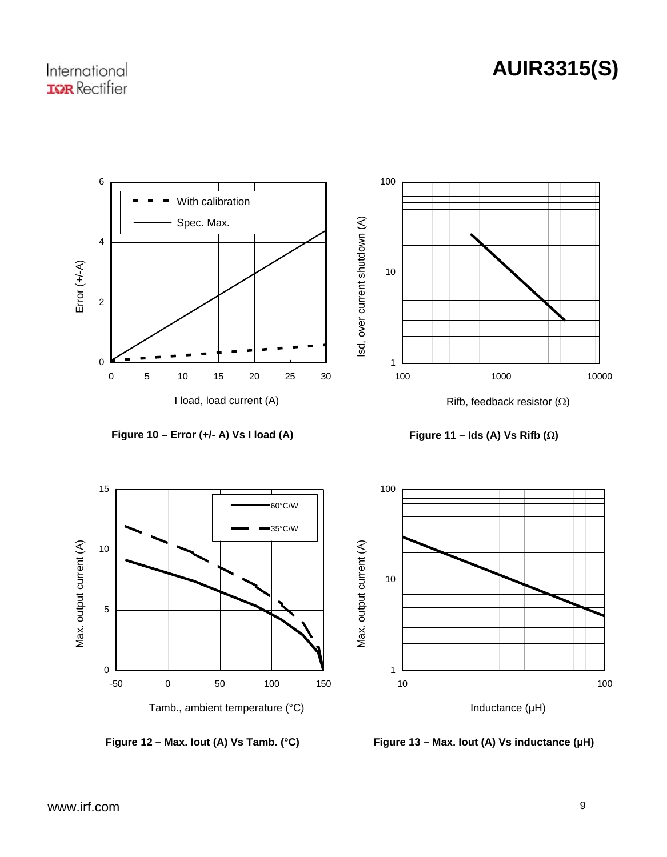# **AUIR3315(S)**



**Figure 10 – Error (+/- A) Vs I load (A) Figure 11 – Ids (A) Vs Rifb ()** 







Figure 12 – Max. lout (A) Vs Tamb. (°C) Figure 13 – Max. lout (A) Vs inductance (µH)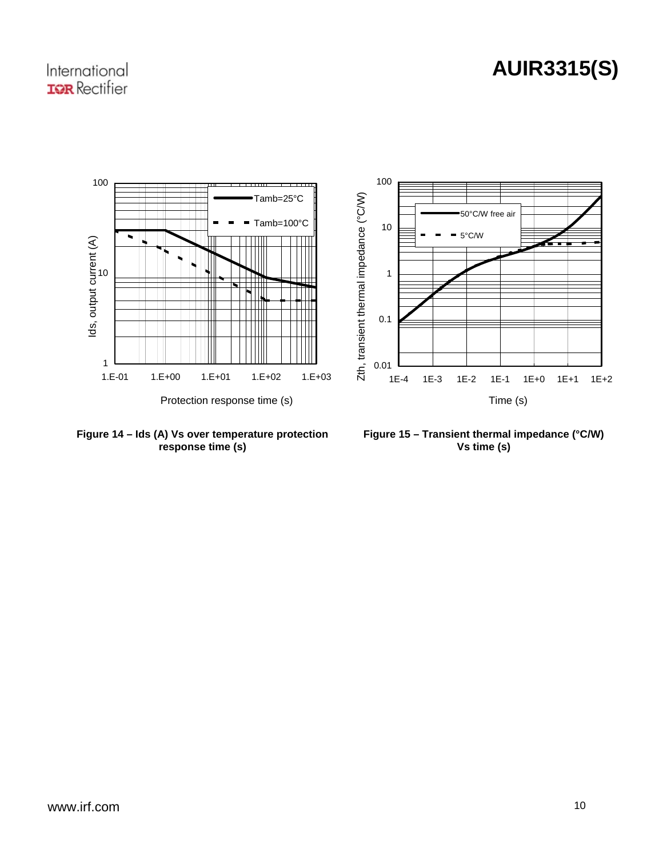#### International **IGR** Rectifier



**Figure 14 – Ids (A) Vs over temperature protection response time (s)** 

**Figure 15 – Transient thermal impedance (°C/W) Vs time (s)**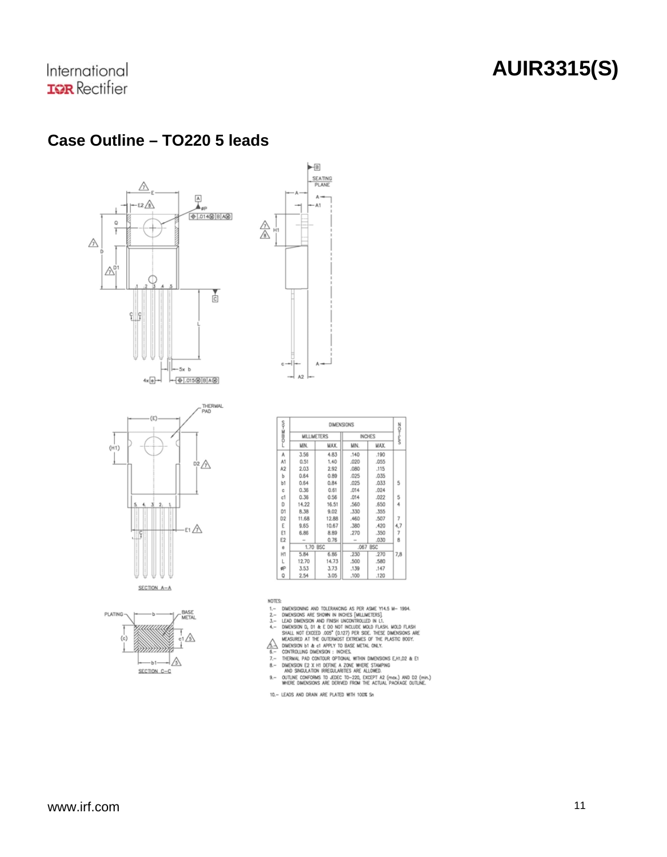#### **Case Outline – TO220 5 leads**









| <b>COME-KV2</b> | <b>DIMENSIONS</b>  |            |          |               | WW-IOZ         |  |
|-----------------|--------------------|------------|----------|---------------|----------------|--|
|                 | <b>MILLIMETERS</b> |            |          | <b>INCHES</b> |                |  |
|                 | UN.                | MAX.       | MIN.     | <b>MYX</b>    |                |  |
| А               | 3.56               | 4.83       | .140     | .190          |                |  |
| A1              | 0.51               | 1.40       | .020     | .055          |                |  |
| A2              | 2.03               | 2.92       | .080     | .115          |                |  |
| Ь               | 0.64               | 0.89       | .025     | .035          |                |  |
| b1              | 0.64               | 0.84       | .025     | .033          | 5              |  |
| c.              | 0.36               | 0.61       | .014     | .024          |                |  |
| c1              | 0.36               | 0.56       | .014     | .022          | 5              |  |
| D               | 14.22              | 16.51      | .560     | .650          | 4              |  |
| D1              | 8.38               | 9.02       | .330     | .355          |                |  |
| D <sub>2</sub>  | 11.68              | 12.88      | .460     | .507          | $\overline{7}$ |  |
| Ε               | 9.65               | 10.67      | .380     | .420          | 4,7            |  |
| E1              | 6.86               | 8.89       | .270     | .350          | 7              |  |
| E <sub>2</sub>  | ÷                  | 0.76       | $\sim$   | .030          | 8              |  |
| ň.              | 1.70               | <b>RSC</b> | .067 BSC |               |                |  |
| H1              | 5.84               | 6.85       | .230     | .270          | 7,8            |  |
| L               | 12.70              | 14.73      | .500     | .580          |                |  |
| ø               | 3.53               | 3.73       | .139     | .147          |                |  |
| O               | 2.54               | 3.05       | .100     | .120          |                |  |

NOTES:

- $1 -$
- $2 -$
- $\overline{x}$ -
- $4 -$
- $\frac{\mathbb{A}}{2}$
- 
- $7 -$
- 
- S: DARGEDONA AND TOLERANCING AS PER ASME YI-45 M-1994, DARGEDONA ARE SIONA IN NOSES (MALIMITERS). LEAD DANSISON AND FUNSION INCOLLUDE IN L1, ILLNO DATASH MARGEDONA DURING WERE DARGEDONAS ARE MARGEDON TO THE PASS TO A SHAR  $9,-$
- 10.- LEADS AND DRAIN ARE PLATED WITH 100% Sn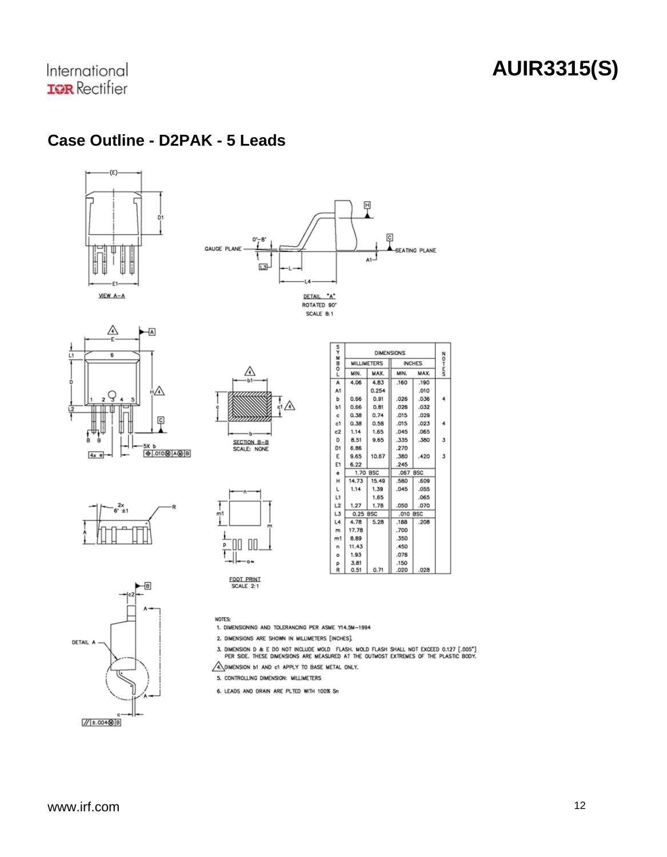$\frac{N}{2}$ 

MAX.

 $.190$ 

 $010$ 

n va  $\overline{\phantom{a}}$ 

 $.032$ 

 $.029$ 

 $.023$ 4

 $.065$ 

.380  $\mathbf 3$ 

.420  $\overline{\mathbf{3}}$ 

 $.609$ 

.055

.065

.070

 $.208$ 

02B

International **IGR** Rectifier

 $\overline{u}$ 

### **Case Outline - D2PAK - 5 Leads**





FOOT PRINT<br>SCALE 2:1

**NOTES:** 















1. DIMENSIONING AND TOLERANCING PER ASME Y14.5M-1994 2. DIMENSIONS ARE SHOWN IN MILLIMETERS [INCHES].

A DIMENSION b1 AND c1 APPLY TO BASE METAL ONLY. 5. CONTROLLING DIMENSION: MILLIMETERS 6. LEADS AND DRAIN ARE PLTED WITH 100% Sn



3. DIMENSION D & E DO NOT INCLUDE MOLD FLASH, MOLD FLASH SHALL NOT EXCEED 0.127  $[.005^{\circ}]$  per side. These dimensions are measured at the outmost extremes of the plastic booy.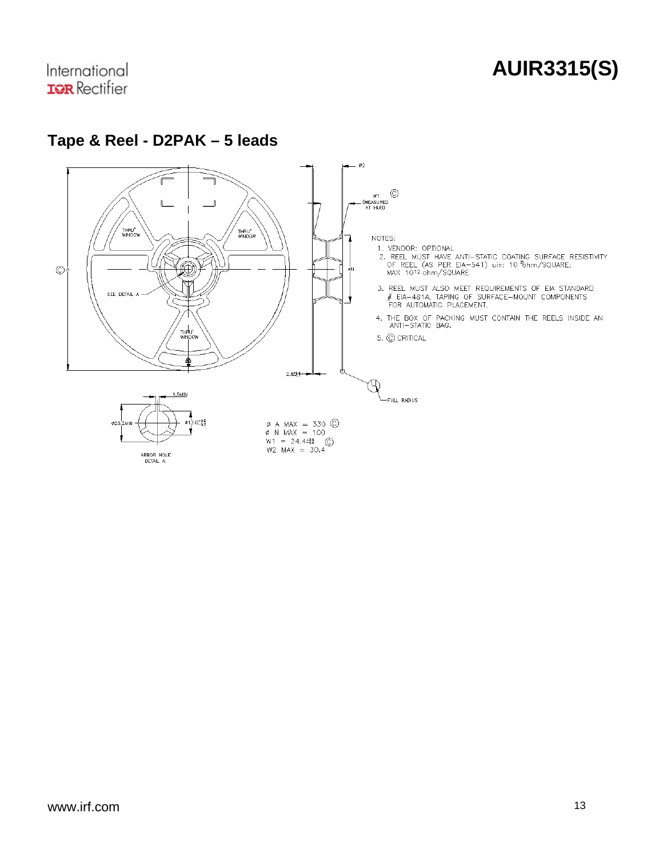### **AUIR3315(S)**



#### **Tape & Reel - D2PAK – 5 leads**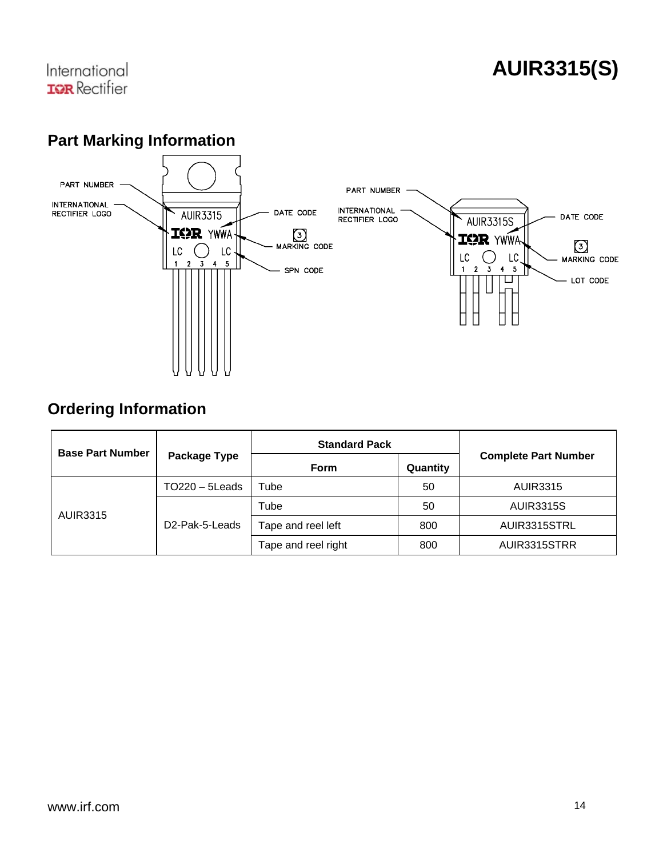### **AUIR3315(S)**

#### **Part Marking Information**



#### **Ordering Information**

| <b>Base Part Number</b> |                             | <b>Standard Pack</b> |          |                             |
|-------------------------|-----------------------------|----------------------|----------|-----------------------------|
|                         | Package Type                | Form                 | Quantity | <b>Complete Part Number</b> |
|                         | $TO220 - 5$ Leads           | Tube                 | 50       | <b>AUIR3315</b>             |
|                         | D <sub>2</sub> -Pak-5-Leads | Tube                 | 50       | <b>AUIR3315S</b>            |
| <b>AUIR3315</b>         |                             | Tape and reel left   | 800      | AUIR3315STRL                |
|                         |                             | Tape and reel right  | 800      | AUIR3315STRR                |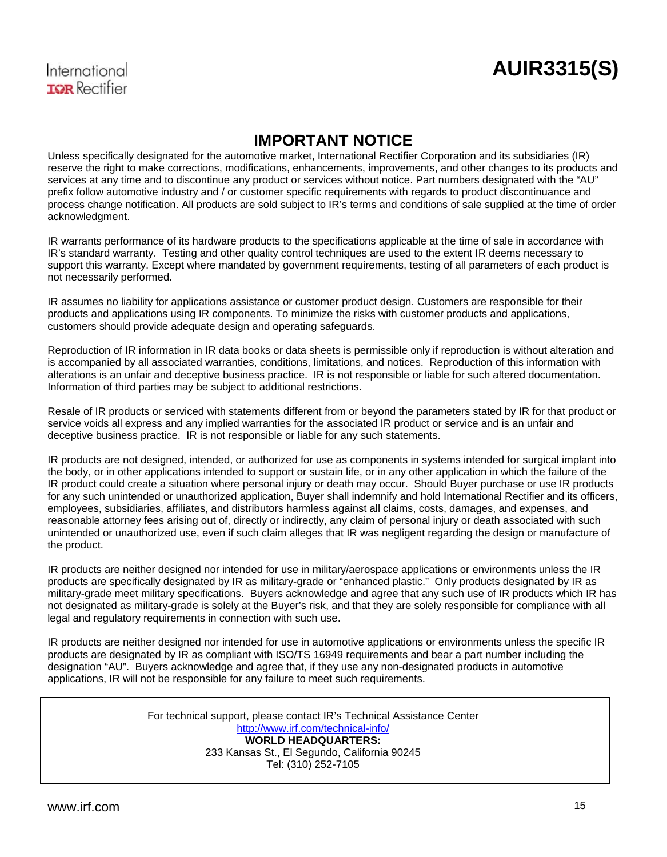#### International **TOR** Rectifier

#### **IMPORTANT NOTICE**

Unless specifically designated for the automotive market, International Rectifier Corporation and its subsidiaries (IR) reserve the right to make corrections, modifications, enhancements, improvements, and other changes to its products and services at any time and to discontinue any product or services without notice. Part numbers designated with the "AU" prefix follow automotive industry and / or customer specific requirements with regards to product discontinuance and process change notification. All products are sold subject to IR's terms and conditions of sale supplied at the time of order acknowledgment.

IR warrants performance of its hardware products to the specifications applicable at the time of sale in accordance with IR's standard warranty. Testing and other quality control techniques are used to the extent IR deems necessary to support this warranty. Except where mandated by government requirements, testing of all parameters of each product is not necessarily performed.

IR assumes no liability for applications assistance or customer product design. Customers are responsible for their products and applications using IR components. To minimize the risks with customer products and applications, customers should provide adequate design and operating safeguards.

Reproduction of IR information in IR data books or data sheets is permissible only if reproduction is without alteration and is accompanied by all associated warranties, conditions, limitations, and notices. Reproduction of this information with alterations is an unfair and deceptive business practice. IR is not responsible or liable for such altered documentation. Information of third parties may be subject to additional restrictions.

Resale of IR products or serviced with statements different from or beyond the parameters stated by IR for that product or service voids all express and any implied warranties for the associated IR product or service and is an unfair and deceptive business practice. IR is not responsible or liable for any such statements.

IR products are not designed, intended, or authorized for use as components in systems intended for surgical implant into the body, or in other applications intended to support or sustain life, or in any other application in which the failure of the IR product could create a situation where personal injury or death may occur. Should Buyer purchase or use IR products for any such unintended or unauthorized application, Buyer shall indemnify and hold International Rectifier and its officers, employees, subsidiaries, affiliates, and distributors harmless against all claims, costs, damages, and expenses, and reasonable attorney fees arising out of, directly or indirectly, any claim of personal injury or death associated with such unintended or unauthorized use, even if such claim alleges that IR was negligent regarding the design or manufacture of the product.

IR products are neither designed nor intended for use in military/aerospace applications or environments unless the IR products are specifically designated by IR as military-grade or "enhanced plastic." Only products designated by IR as military-grade meet military specifications. Buyers acknowledge and agree that any such use of IR products which IR has not designated as military-grade is solely at the Buyer's risk, and that they are solely responsible for compliance with all legal and regulatory requirements in connection with such use.

IR products are neither designed nor intended for use in automotive applications or environments unless the specific IR products are designated by IR as compliant with ISO/TS 16949 requirements and bear a part number including the designation "AU". Buyers acknowledge and agree that, if they use any non-designated products in automotive applications, IR will not be responsible for any failure to meet such requirements.

> For technical support, please contact IR's Technical Assistance Center <http://www.irf.com/technical-info/> **WORLD HEADQUARTERS:**  233 Kansas St., El Segundo, California 90245 Tel: (310) 252-7105